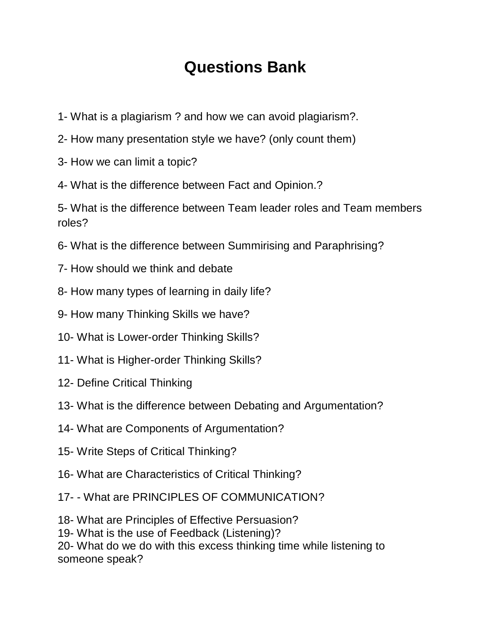## **Questions Bank**

- 1- What is a plagiarism ? and how we can avoid plagiarism?.
- 2- How many presentation style we have? (only count them)
- 3- How we can limit a topic?
- 4- What is the difference between Fact and Opinion.?

5- What is the difference between Team leader roles and Team members roles?

- 6- What is the difference between Summirising and Paraphrising?
- 7- How should we think and debate
- 8- How many types of learning in daily life?
- 9- How many Thinking Skills we have?
- 10- What is Lower-order Thinking Skills?
- 11- What is Higher-order Thinking Skills?
- 12- Define Critical Thinking
- 13- What is the difference between Debating and Argumentation?
- 14- What are Components of Argumentation?
- 15- Write Steps of Critical Thinking?
- 16- What are Characteristics of Critical Thinking?
- 17- What are PRINCIPLES OF COMMUNICATION?
- 18- What are Principles of Effective Persuasion?

19- What is the use of Feedback (Listening)?

20- What do we do with this excess thinking time while listening to someone speak?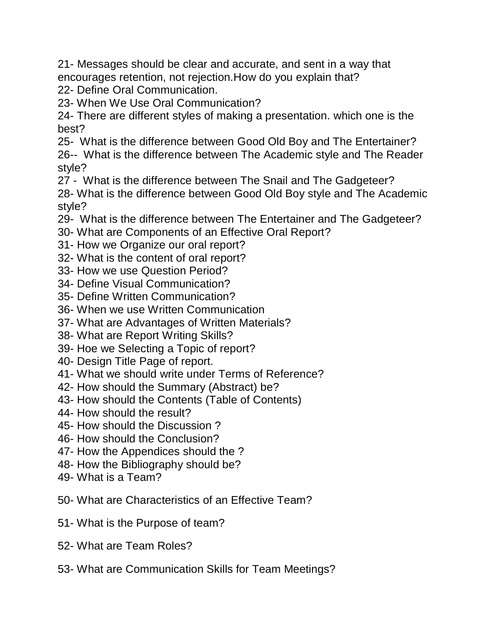21- Messages should be clear and accurate, and sent in a way that encourages retention, not rejection.How do you explain that? 22- Define Oral Communication.

23- When We Use Oral Communication?

24- There are different styles of making a presentation. which one is the best?

25- What is the difference between Good Old Boy and The Entertainer? 26-- What is the difference between The Academic style and The Reader style?

27 - What is the difference between The Snail and The Gadgeteer? 28- What is the difference between Good Old Boy style and The Academic style?

- 29- What is the difference between The Entertainer and The Gadgeteer?
- 30- What are Components of an Effective Oral Report?
- 31- How we Organize our oral report?
- 32- What is the content of oral report?
- 33- How we use Question Period?
- 34- Define Visual Communication?
- 35- Define Written Communication?
- 36- When we use Written Communication
- 37- What are Advantages of Written Materials?
- 38- What are Report Writing Skills?
- 39- Hoe we Selecting a Topic of report?
- 40- Design Title Page of report.
- 41- What we should write under Terms of Reference?
- 42- How should the Summary (Abstract) be?
- 43- How should the Contents (Table of Contents)
- 44- How should the result?
- 45- How should the Discussion ?
- 46- How should the Conclusion?
- 47- How the Appendices should the ?
- 48- How the Bibliography should be?
- 49- What is a Team?
- 50- What are Characteristics of an Effective Team?
- 51- What is the Purpose of team?
- 52- What are Team Roles?
- 53- What are Communication Skills for Team Meetings?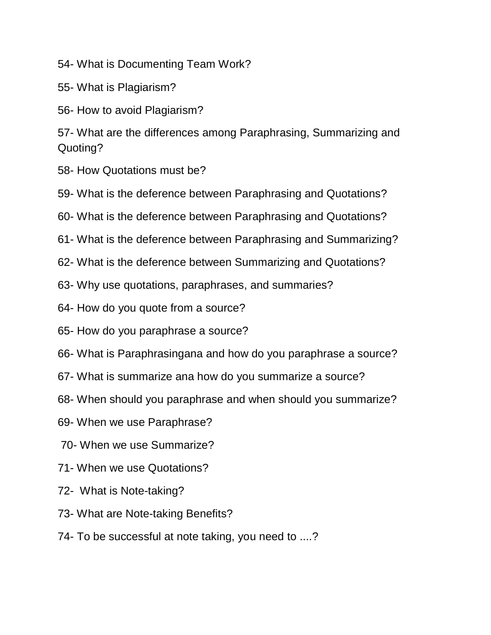54- What is Documenting Team Work?

55- What is Plagiarism?

56- How to avoid Plagiarism?

57- What are the differences among Paraphrasing, Summarizing and Quoting?

- 58- How Quotations must be?
- 59- What is the deference between Paraphrasing and Quotations?
- 60- What is the deference between Paraphrasing and Quotations?
- 61- What is the deference between Paraphrasing and Summarizing?
- 62- What is the deference between Summarizing and Quotations?
- 63- Why use quotations, paraphrases, and summaries?
- 64- How do you quote from a source?
- 65- How do you paraphrase a source?
- 66- What is Paraphrasingana and how do you paraphrase a source?
- 67- What is summarize ana how do you summarize a source?
- 68- When should you paraphrase and when should you summarize?
- 69- When we use Paraphrase?
- 70- When we use Summarize?
- 71- When we use Quotations?
- 72- What is Note-taking?
- 73- What are Note-taking Benefits?
- 74- To be successful at note taking, you need to ....?